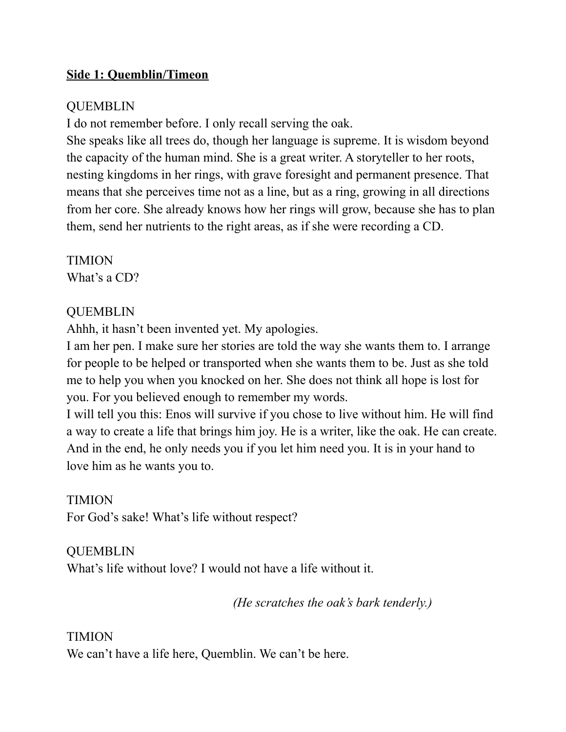#### **Side 1: Quemblin/Timeon**

#### QUEMBLIN

I do not remember before. I only recall serving the oak.

She speaks like all trees do, though her language is supreme. It is wisdom beyond the capacity of the human mind. She is a great writer. A storyteller to her roots, nesting kingdoms in her rings, with grave foresight and permanent presence. That means that she perceives time not as a line, but as a ring, growing in all directions from her core. She already knows how her rings will grow, because she has to plan them, send her nutrients to the right areas, as if she were recording a CD.

TIMION What's a CD?

#### QUEMBLIN

Ahhh, it hasn't been invented yet. My apologies.

I am her pen. I make sure her stories are told the way she wants them to. I arrange for people to be helped or transported when she wants them to be. Just as she told me to help you when you knocked on her. She does not think all hope is lost for you. For you believed enough to remember my words.

I will tell you this: Enos will survive if you chose to live without him. He will find a way to create a life that brings him joy. He is a writer, like the oak. He can create. And in the end, he only needs you if you let him need you. It is in your hand to love him as he wants you to.

## TIMION

For God's sake! What's life without respect?

## **OUEMBLIN**

What's life without love? I would not have a life without it.

*(He scratches the oak's bark tenderly.)*

## TIMION

We can't have a life here, Quemblin. We can't be here.